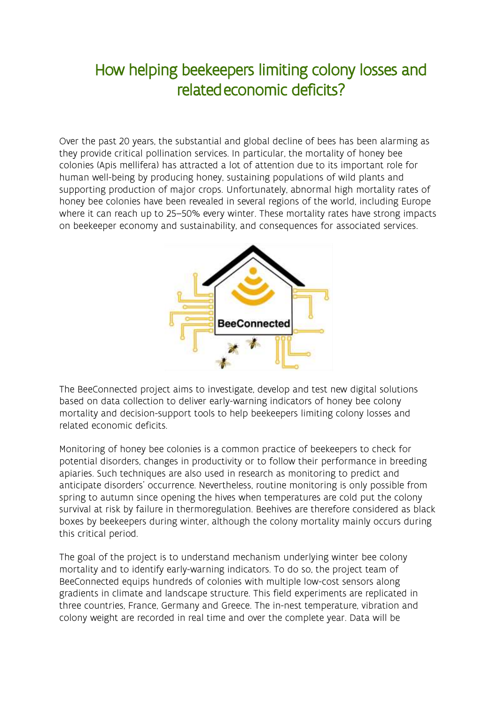## How helping beekeepers limiting colony losses and relatedeconomic deficits?

Over the past 20 years, the substantial and global decline of bees has been alarming as they provide critical pollination services. In particular, the mortality of honey bee colonies (Apis mellifera) has attracted a lot of attention due to its important role for human well-being by producing honey, sustaining populations of wild plants and supporting production of major crops. Unfortunately, abnormal high mortality rates of honey bee colonies have been revealed in several regions of the world, including Europe where it can reach up to 25–50% every winter. These mortality rates have strong impacts on beekeeper economy and sustainability, and consequences for associated services.



The BeeConnected project aims to investigate, develop and test new digital solutions based on data collection to deliver early-warning indicators of honey bee colony mortality and decision-support tools to help beekeepers limiting colony losses and related economic deficits.

Monitoring of honey bee colonies is a common practice of beekeepers to check for potential disorders, changes in productivity or to follow their performance in breeding apiaries. Such techniques are also used in research as monitoring to predict and anticipate disorders' occurrence. Nevertheless, routine monitoring is only possible from spring to autumn since opening the hives when temperatures are cold put the colony survival at risk by failure in thermoregulation. Beehives are therefore considered as black boxes by beekeepers during winter, although the colony mortality mainly occurs during this critical period.

The goal of the project is to understand mechanism underlying winter bee colony mortality and to identify early-warning indicators. To do so, the project team of BeeConnected equips hundreds of colonies with multiple low-cost sensors along gradients in climate and landscape structure. This field experiments are replicated in three countries, France, Germany and Greece. The in-nest temperature, vibration and colony weight are recorded in real time and over the complete year. Data will be